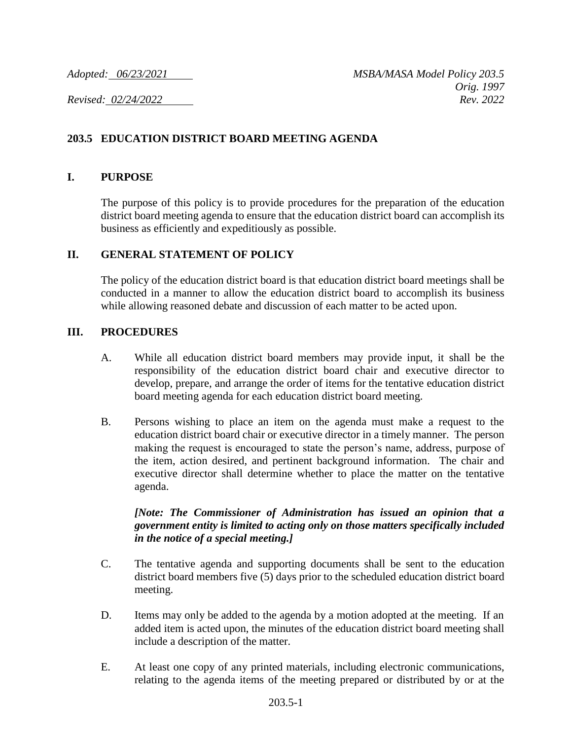# **203.5 EDUCATION DISTRICT BOARD MEETING AGENDA**

#### **I. PURPOSE**

The purpose of this policy is to provide procedures for the preparation of the education district board meeting agenda to ensure that the education district board can accomplish its business as efficiently and expeditiously as possible.

## **II. GENERAL STATEMENT OF POLICY**

The policy of the education district board is that education district board meetings shall be conducted in a manner to allow the education district board to accomplish its business while allowing reasoned debate and discussion of each matter to be acted upon.

## **III. PROCEDURES**

- A. While all education district board members may provide input, it shall be the responsibility of the education district board chair and executive director to develop, prepare, and arrange the order of items for the tentative education district board meeting agenda for each education district board meeting.
- B. Persons wishing to place an item on the agenda must make a request to the education district board chair or executive director in a timely manner. The person making the request is encouraged to state the person's name, address, purpose of the item, action desired, and pertinent background information. The chair and executive director shall determine whether to place the matter on the tentative agenda.

## *[Note: The Commissioner of Administration has issued an opinion that a government entity is limited to acting only on those matters specifically included in the notice of a special meeting.]*

- C. The tentative agenda and supporting documents shall be sent to the education district board members five (5) days prior to the scheduled education district board meeting.
- D. Items may only be added to the agenda by a motion adopted at the meeting. If an added item is acted upon, the minutes of the education district board meeting shall include a description of the matter.
- E. At least one copy of any printed materials, including electronic communications, relating to the agenda items of the meeting prepared or distributed by or at the